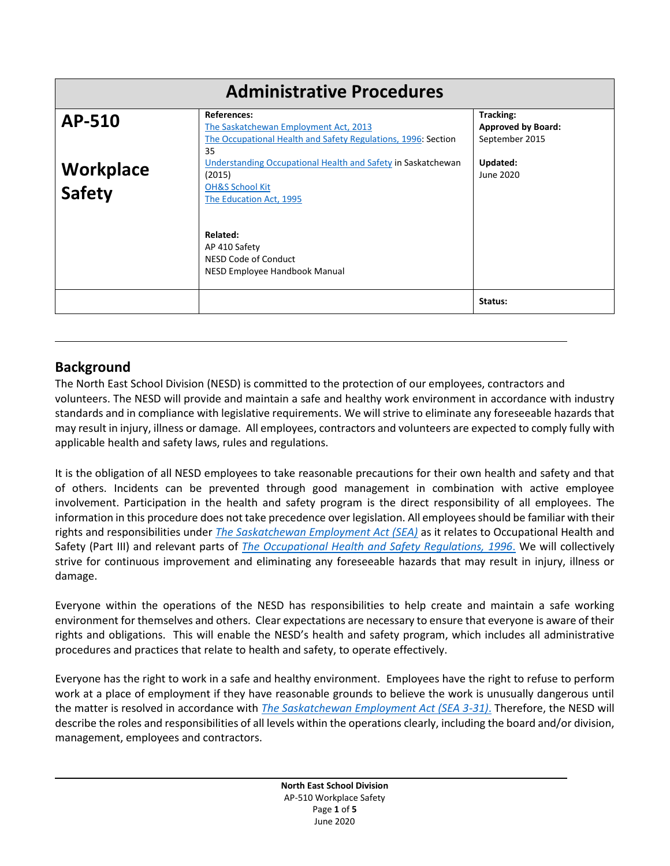| <b>Administrative Procedures</b> |                                                                                                                                             |                                                          |
|----------------------------------|---------------------------------------------------------------------------------------------------------------------------------------------|----------------------------------------------------------|
| AP-510                           | <b>References:</b><br>The Saskatchewan Employment Act, 2013<br>The Occupational Health and Safety Regulations, 1996: Section<br>35          | Tracking:<br><b>Approved by Board:</b><br>September 2015 |
| Workplace<br><b>Safety</b>       | Understanding Occupational Health and Safety in Saskatchewan<br>(2015)<br><b>OH&amp;S School Kit</b><br>The Education Act, 1995<br>Related: | Updated:<br>June 2020                                    |
|                                  | AP 410 Safety<br>NESD Code of Conduct<br>NESD Employee Handbook Manual                                                                      | Status:                                                  |

# **Background**

The North East School Division (NESD) is committed to the protection of our employees, contractors and volunteers. The NESD will provide and maintain a safe and healthy work environment in accordance with industry standards and in compliance with legislative requirements. We will strive to eliminate any foreseeable hazards that may result in injury, illness or damage. All employees, contractors and volunteers are expected to comply fully with applicable health and safety laws, rules and regulations.

It is the obligation of all NESD employees to take reasonable precautions for their own health and safety and that of others. Incidents can be prevented through good management in combination with active employee involvement. Participation in the health and safety program is the direct responsibility of all employees. The information in this procedure does not take precedence over legislation. All employees should be familiar with their rights and responsibilities under *[The Saskatchewan Employment Act](http://www.publications.gov.sk.ca/freelaw/documents/English/Statutes/Statutes/S15-1.pdf) (SEA)* as it relates to Occupational Health and Safety (Part III) and relevant parts of *[The Occupational Health and Safety Regulations, 1996](https://publications.saskatchewan.ca/#/products/677)*. We will collectively strive for continuous improvement and eliminating any foreseeable hazards that may result in injury, illness or damage.

Everyone within the operations of the NESD has responsibilities to help create and maintain a safe working environment for themselves and others. Clear expectations are necessary to ensure that everyone is aware of their rights and obligations. This will enable the NESD's health and safety program, which includes all administrative procedures and practices that relate to health and safety, to operate effectively.

Everyone has the right to work in a safe and healthy environment. Employees have the right to refuse to perform work at a place of employment if they have reasonable grounds to believe the work is unusually dangerous until the matter is resolved in accordance with *The [Saskatchewan Employment Act \(SEA 3-31\)](http://www.worksafesask.ca/wp-content/uploads/2019/06/OHS-Legislation-190611.pdf)*. Therefore, the NESD will describe the roles and responsibilities of all levels within the operations clearly, including the board and/or division, management, employees and contractors.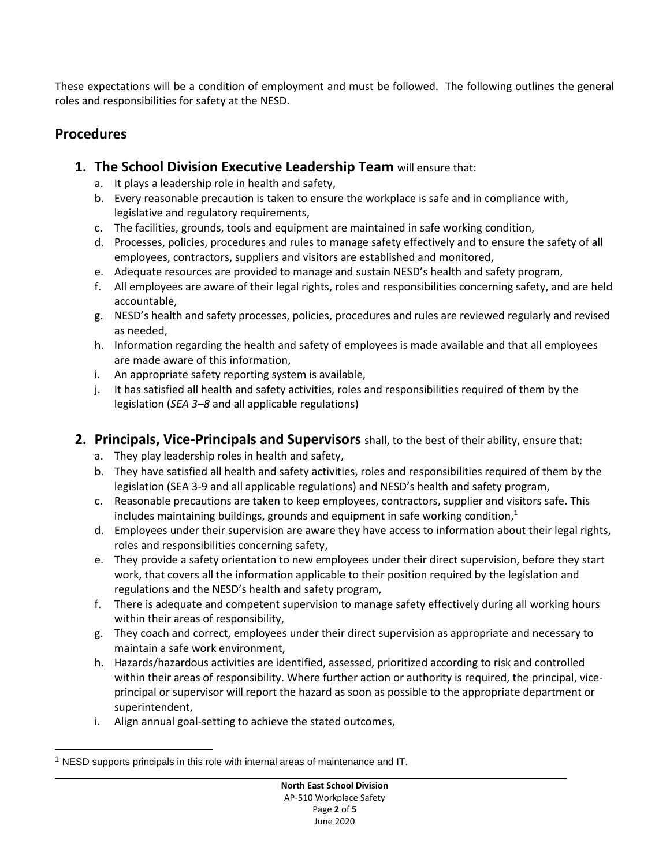These expectations will be a condition of employment and must be followed. The following outlines the general roles and responsibilities for safety at the NESD.

### **Procedures**

- **1. The School Division Executive Leadership Team** will ensure that:
	- a. It plays a leadership role in health and safety,
	- b. Every reasonable precaution is taken to ensure the workplace is safe and in compliance with, legislative and regulatory requirements,
	- c. The facilities, grounds, tools and equipment are maintained in safe working condition,
	- d. Processes, policies, procedures and rules to manage safety effectively and to ensure the safety of all employees, contractors, suppliers and visitors are established and monitored,
	- e. Adequate resources are provided to manage and sustain NESD's health and safety program,
	- f. All employees are aware of their legal rights, roles and responsibilities concerning safety, and are held accountable,
	- g. NESD's health and safety processes, policies, procedures and rules are reviewed regularly and revised as needed,
	- h. Information regarding the health and safety of employees is made available and that all employees are made aware of this information,
	- i. An appropriate safety reporting system is available,
	- j. It has satisfied all health and safety activities, roles and responsibilities required of them by the legislation (*SEA 3–8* and all applicable regulations)

### **2. Principals, Vice-Principals and Supervisors** shall, to the best of their ability, ensure that:

- a. They play leadership roles in health and safety,
- b. They have satisfied all health and safety activities, roles and responsibilities required of them by the legislation (SEA 3-9 and all applicable regulations) and NESD's health and safety program,
- c. Reasonable precautions are taken to keep employees, contractors, supplier and visitors safe. This includes maintaining buildings, grounds and equipment in safe working condition,<sup>1</sup>
- d. Employees under their supervision are aware they have access to information about their legal rights, roles and responsibilities concerning safety,
- e. They provide a safety orientation to new employees under their direct supervision, before they start work, that covers all the information applicable to their position required by the legislation and regulations and the NESD's health and safety program,
- f. There is adequate and competent supervision to manage safety effectively during all working hours within their areas of responsibility,
- g. They coach and correct, employees under their direct supervision as appropriate and necessary to maintain a safe work environment,
- h. Hazards/hazardous activities are identified, assessed, prioritized according to risk and controlled within their areas of responsibility. Where further action or authority is required, the principal, viceprincipal or supervisor will report the hazard as soon as possible to the appropriate department or superintendent,
- i. Align annual goal-setting to achieve the stated outcomes,

 $\overline{a}$ <sup>1</sup> NESD supports principals in this role with internal areas of maintenance and IT.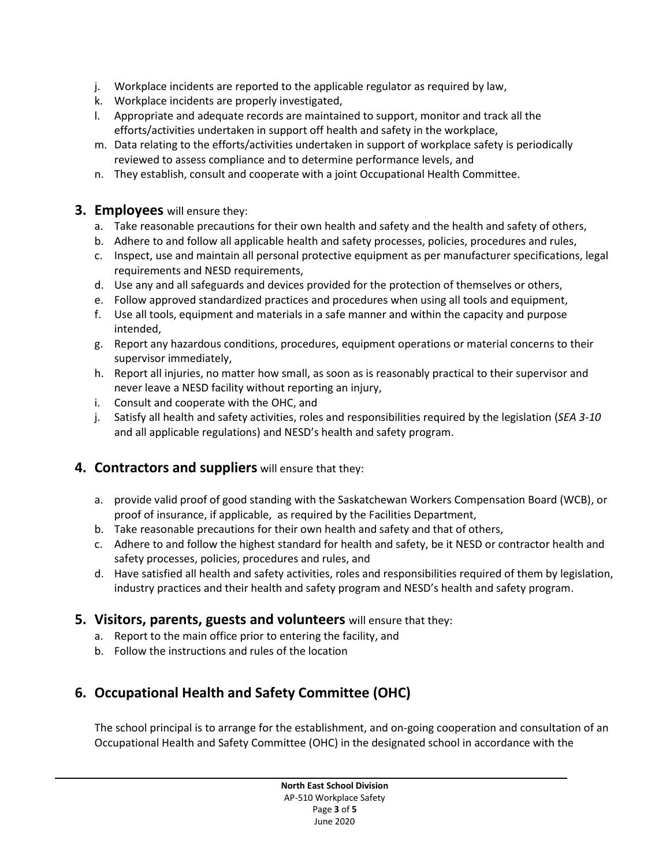- j. Workplace incidents are reported to the applicable regulator as required by law,
- k. Workplace incidents are properly investigated,
- l. Appropriate and adequate records are maintained to support, monitor and track all the efforts/activities undertaken in support off health and safety in the workplace,
- m. Data relating to the efforts/activities undertaken in support of workplace safety is periodically reviewed to assess compliance and to determine performance levels, and
- n. They establish, consult and cooperate with a joint Occupational Health Committee.

#### **3. Employees** will ensure they:

- a. Take reasonable precautions for their own health and safety and the health and safety of others,
- b. Adhere to and follow all applicable health and safety processes, policies, procedures and rules,
- c. Inspect, use and maintain all personal protective equipment as per manufacturer specifications, legal requirements and NESD requirements,
- d. Use any and all safeguards and devices provided for the protection of themselves or others,
- e. Follow approved standardized practices and procedures when using all tools and equipment,
- f. Use all tools, equipment and materials in a safe manner and within the capacity and purpose intended,
- g. Report any hazardous conditions, procedures, equipment operations or material concerns to their supervisor immediately,
- h. Report all injuries, no matter how small, as soon as is reasonably practical to their supervisor and never leave a NESD facility without reporting an injury,
- i. Consult and cooperate with the OHC, and
- j. Satisfy all health and safety activities, roles and responsibilities required by the legislation (*SEA 3-10* and all applicable regulations) and NESD's health and safety program.

### **4. Contractors and suppliers** will ensure that they:

- a. provide valid proof of good standing with the Saskatchewan Workers Compensation Board (WCB), or proof of insurance, if applicable, as required by the Facilities Department,
- b. Take reasonable precautions for their own health and safety and that of others,
- c. Adhere to and follow the highest standard for health and safety, be it NESD or contractor health and safety processes, policies, procedures and rules, and
- d. Have satisfied all health and safety activities, roles and responsibilities required of them by legislation, industry practices and their health and safety program and NESD's health and safety program.

### **5. Visitors, parents, guests and volunteers** will ensure that they:

- a. Report to the main office prior to entering the facility, and
- b. Follow the instructions and rules of the location

# **6. Occupational Health and Safety Committee (OHC)**

The school principal is to arrange for the establishment, and on-going cooperation and consultation of an Occupational Health and Safety Committee (OHC) in the designated school in accordance with the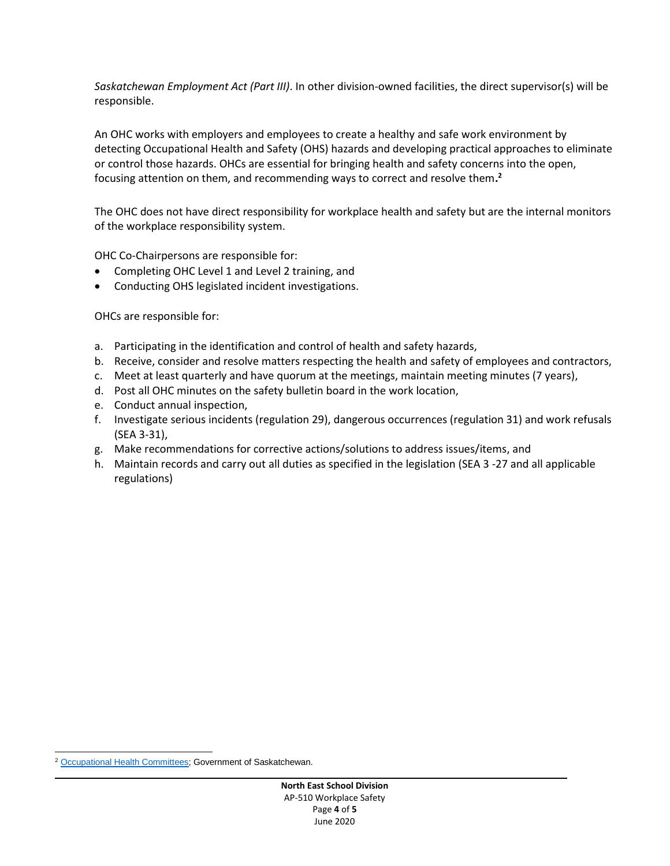*Saskatchewan Employment Act (Part III)*. In other division-owned facilities, the direct supervisor(s) will be responsible.

An OHC works with employers and employees to create a healthy and safe work environment by detecting Occupational Health and Safety (OHS) hazards and developing practical approaches to eliminate or control those hazards. OHCs are essential for bringing health and safety concerns into the open, focusing attention on them, and recommending ways to correct and resolve them**. 2**

The OHC does not have direct responsibility for workplace health and safety but are the internal monitors of the workplace responsibility system.

OHC Co-Chairpersons are responsible for:

- Completing OHC Level 1 and Level 2 training, and
- Conducting OHS legislated incident investigations.

OHCs are responsible for:

- a. Participating in the identification and control of health and safety hazards,
- b. Receive, consider and resolve matters respecting the health and safety of employees and contractors,
- c. Meet at least quarterly and have quorum at the meetings, maintain meeting minutes (7 years),
- d. Post all OHC minutes on the safety bulletin board in the work location,
- e. Conduct annual inspection,
- f. Investigate serious incidents (regulation 29), dangerous occurrences (regulation 31) and work refusals (SEA 3-31),
- g. Make recommendations for corrective actions/solutions to address issues/items, and
- h. Maintain records and carry out all duties as specified in the legislation (SEA 3 -27 and all applicable regulations)

 $\overline{a}$ <sup>2</sup> [Occupational Health Committees;](https://www.saskatchewan.ca/business/safety-in-the-workplace/ohc-and-ohs-representative/ohc) Government of Saskatchewan.